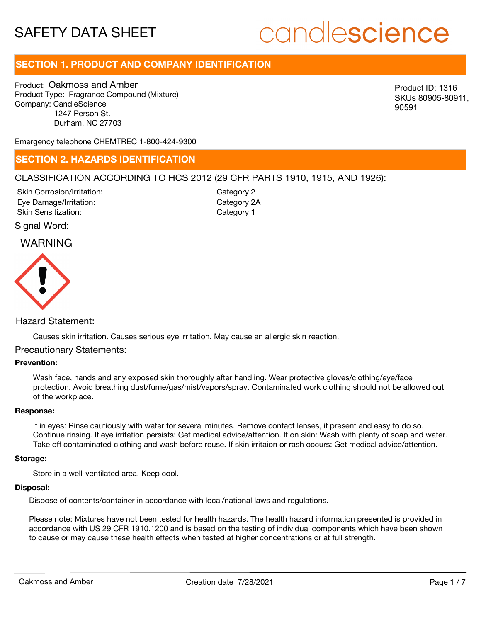# candlescience

# **SECTION 1. PRODUCT AND COMPANY IDENTIFICATION**

Product: Oakmoss and Amber Product Type: Fragrance Compound (Mixture) Company: CandleScience 1247 Person St. Durham, NC 27703

Product ID: 1316 SKUs 80905-80911, 90591

Emergency telephone CHEMTREC 1-800-424-9300

### **SECTION 2. HAZARDS IDENTIFICATION**

#### CLASSIFICATION ACCORDING TO HCS 2012 (29 CFR PARTS 1910, 1915, AND 1926):

Skin Corrosion/Irritation: Eye Damage/Irritation: Skin Sensitization:

Category 2 Category 2A Category 1

#### Signal Word:

## WARNING



#### Hazard Statement:

Causes skin irritation. Causes serious eye irritation. May cause an allergic skin reaction.

#### Precautionary Statements:

#### **Prevention:**

Wash face, hands and any exposed skin thoroughly after handling. Wear protective gloves/clothing/eye/face protection. Avoid breathing dust/fume/gas/mist/vapors/spray. Contaminated work clothing should not be allowed out of the workplace.

#### **Response:**

If in eyes: Rinse cautiously with water for several minutes. Remove contact lenses, if present and easy to do so. Continue rinsing. If eye irritation persists: Get medical advice/attention. If on skin: Wash with plenty of soap and water. Take off contaminated clothing and wash before reuse. If skin irritaion or rash occurs: Get medical advice/attention.

#### **Storage:**

Store in a well-ventilated area. Keep cool.

#### **Disposal:**

Dispose of contents/container in accordance with local/national laws and regulations.

Please note: Mixtures have not been tested for health hazards. The health hazard information presented is provided in accordance with US 29 CFR 1910.1200 and is based on the testing of individual components which have been shown to cause or may cause these health effects when tested at higher concentrations or at full strength.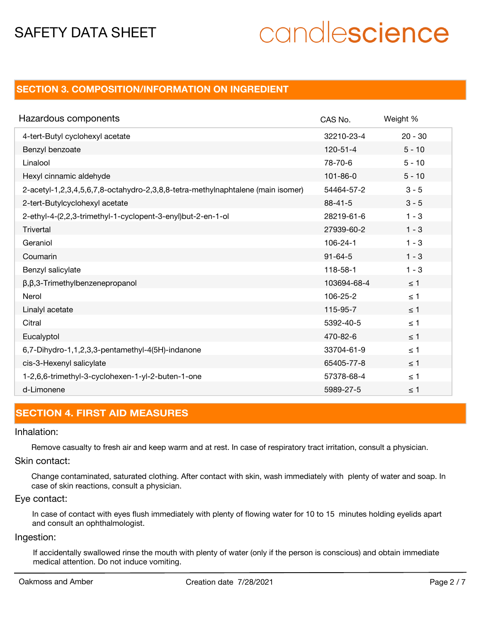# candlescience

## **SECTION 3. COMPOSITION/INFORMATION ON INGREDIENT**

| Hazardous components                                                            | CAS No.        | Weight %  |
|---------------------------------------------------------------------------------|----------------|-----------|
| 4-tert-Butyl cyclohexyl acetate                                                 | 32210-23-4     | $20 - 30$ |
| Benzyl benzoate                                                                 | $120 - 51 - 4$ | $5 - 10$  |
| Linalool                                                                        | 78-70-6        | $5 - 10$  |
| Hexyl cinnamic aldehyde                                                         | $101 - 86 - 0$ | $5 - 10$  |
| 2-acetyl-1,2,3,4,5,6,7,8-octahydro-2,3,8,8-tetra-methylnaphtalene (main isomer) | 54464-57-2     | $3 - 5$   |
| 2-tert-Butylcyclohexyl acetate                                                  | $88 - 41 - 5$  | $3 - 5$   |
| 2-ethyl-4-(2,2,3-trimethyl-1-cyclopent-3-enyl)but-2-en-1-ol                     | 28219-61-6     | $1 - 3$   |
| Trivertal                                                                       | 27939-60-2     | $1 - 3$   |
| Geraniol                                                                        | $106 - 24 - 1$ | $1 - 3$   |
| Coumarin                                                                        | $91 - 64 - 5$  | $1 - 3$   |
| Benzyl salicylate                                                               | 118-58-1       | $1 - 3$   |
| $\beta$ , $\beta$ ,3-Trimethylbenzenepropanol                                   | 103694-68-4    | $\leq$ 1  |
| Nerol                                                                           | 106-25-2       | $\leq 1$  |
| Linalyl acetate                                                                 | 115-95-7       | $\leq$ 1  |
| Citral                                                                          | 5392-40-5      | $\leq 1$  |
| Eucalyptol                                                                      | 470-82-6       | $\leq$ 1  |
| 6,7-Dihydro-1,1,2,3,3-pentamethyl-4(5H)-indanone                                | 33704-61-9     | $\leq 1$  |
| cis-3-Hexenyl salicylate                                                        | 65405-77-8     | $\leq$ 1  |
| 1-2,6,6-trimethyl-3-cyclohexen-1-yl-2-buten-1-one                               | 57378-68-4     | $\leq 1$  |
| d-Limonene                                                                      | 5989-27-5      | $\leq$ 1  |

### **SECTION 4. FIRST AID MEASURES**

#### Inhalation:

Remove casualty to fresh air and keep warm and at rest. In case of respiratory tract irritation, consult a physician.

#### Skin contact:

Change contaminated, saturated clothing. After contact with skin, wash immediately with plenty of water and soap. In case of skin reactions, consult a physician.

#### Eye contact:

In case of contact with eyes flush immediately with plenty of flowing water for 10 to 15 minutes holding eyelids apart and consult an ophthalmologist.

#### Ingestion:

If accidentally swallowed rinse the mouth with plenty of water (only if the person is conscious) and obtain immediate medical attention. Do not induce vomiting.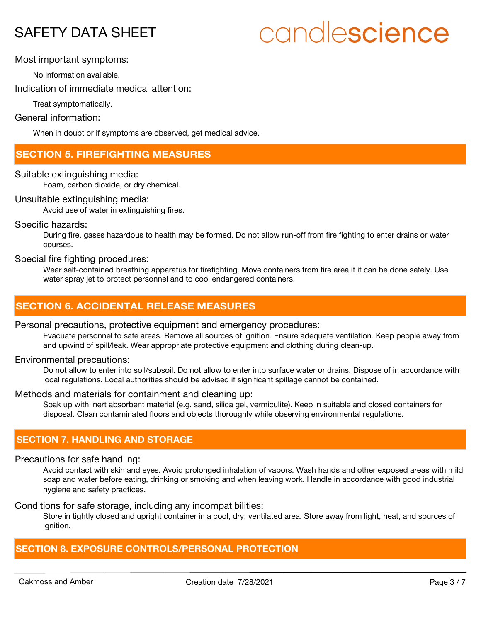# candlescience

#### Most important symptoms:

No information available.

Indication of immediate medical attention:

Treat symptomatically.

#### General information:

When in doubt or if symptoms are observed, get medical advice.

# **SECTION 5. FIREFIGHTING MEASURES**

#### Suitable extinguishing media:

Foam, carbon dioxide, or dry chemical.

#### Unsuitable extinguishing media:

Avoid use of water in extinguishing fires.

#### Specific hazards:

During fire, gases hazardous to health may be formed. Do not allow run-off from fire fighting to enter drains or water courses.

## Special fire fighting procedures:

Wear self-contained breathing apparatus for firefighting. Move containers from fire area if it can be done safely. Use water spray jet to protect personnel and to cool endangered containers.

# **SECTION 6. ACCIDENTAL RELEASE MEASURES**

#### Personal precautions, protective equipment and emergency procedures:

Evacuate personnel to safe areas. Remove all sources of ignition. Ensure adequate ventilation. Keep people away from and upwind of spill/leak. Wear appropriate protective equipment and clothing during clean-up.

#### Environmental precautions:

Do not allow to enter into soil/subsoil. Do not allow to enter into surface water or drains. Dispose of in accordance with local regulations. Local authorities should be advised if significant spillage cannot be contained.

#### Methods and materials for containment and cleaning up:

Soak up with inert absorbent material (e.g. sand, silica gel, vermiculite). Keep in suitable and closed containers for disposal. Clean contaminated floors and objects thoroughly while observing environmental regulations.

# **SECTION 7. HANDLING AND STORAGE**

#### Precautions for safe handling:

Avoid contact with skin and eyes. Avoid prolonged inhalation of vapors. Wash hands and other exposed areas with mild soap and water before eating, drinking or smoking and when leaving work. Handle in accordance with good industrial hygiene and safety practices.

#### Conditions for safe storage, including any incompatibilities:

Store in tightly closed and upright container in a cool, dry, ventilated area. Store away from light, heat, and sources of ignition.

### **SECTION 8. EXPOSURE CONTROLS/PERSONAL PROTECTION**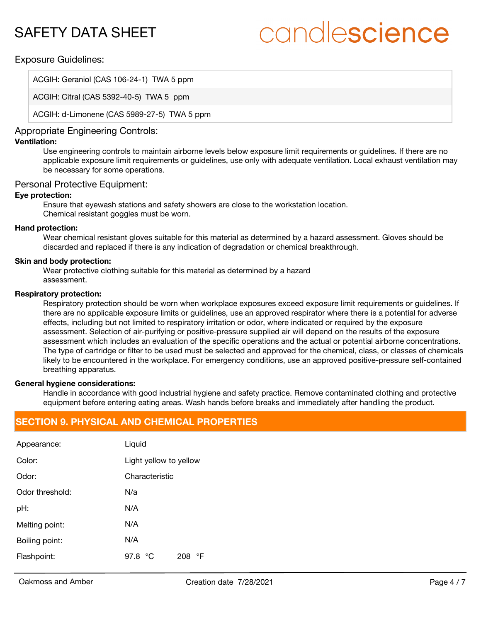# candlescience

#### Exposure Guidelines:

ACGIH: Geraniol (CAS 106-24-1) TWA 5 ppm

ACGIH: Citral (CAS 5392-40-5) TWA 5 ppm

ACGIH: d-Limonene (CAS 5989-27-5) TWA 5 ppm

## Appropriate Engineering Controls:

#### **Ventilation:**

Use engineering controls to maintain airborne levels below exposure limit requirements or guidelines. If there are no applicable exposure limit requirements or guidelines, use only with adequate ventilation. Local exhaust ventilation may be necessary for some operations.

#### Personal Protective Equipment:

#### **Eye protection:**

Ensure that eyewash stations and safety showers are close to the workstation location. Chemical resistant goggles must be worn.

#### **Hand protection:**

Wear chemical resistant gloves suitable for this material as determined by a hazard assessment. Gloves should be discarded and replaced if there is any indication of degradation or chemical breakthrough.

#### **Skin and body protection:**

Wear protective clothing suitable for this material as determined by a hazard assessment.

#### **Respiratory protection:**

Respiratory protection should be worn when workplace exposures exceed exposure limit requirements or quidelines. If there are no applicable exposure limits or guidelines, use an approved respirator where there is a potential for adverse effects, including but not limited to respiratory irritation or odor, where indicated or required by the exposure assessment. Selection of air-purifying or positive-pressure supplied air will depend on the results of the exposure assessment which includes an evaluation of the specific operations and the actual or potential airborne concentrations. The type of cartridge or filter to be used must be selected and approved for the chemical, class, or classes of chemicals likely to be encountered in the workplace. For emergency conditions, use an approved positive-pressure self-contained breathing apparatus.

#### **General hygiene considerations:**

Handle in accordance with good industrial hygiene and safety practice. Remove contaminated clothing and protective equipment before entering eating areas. Wash hands before breaks and immediately after handling the product.

# **SECTION 9. PHYSICAL AND CHEMICAL PROPERTIES**

| Appearance:     | Liquid                        |  |
|-----------------|-------------------------------|--|
| Color:          | Light yellow to yellow        |  |
| Odor:           | Characteristic                |  |
| Odor threshold: | N/a                           |  |
| pH:             | N/A                           |  |
| Melting point:  | N/A                           |  |
| Boiling point:  | N/A                           |  |
| Flashpoint:     | 97.8 $\degree$ C<br>°F<br>208 |  |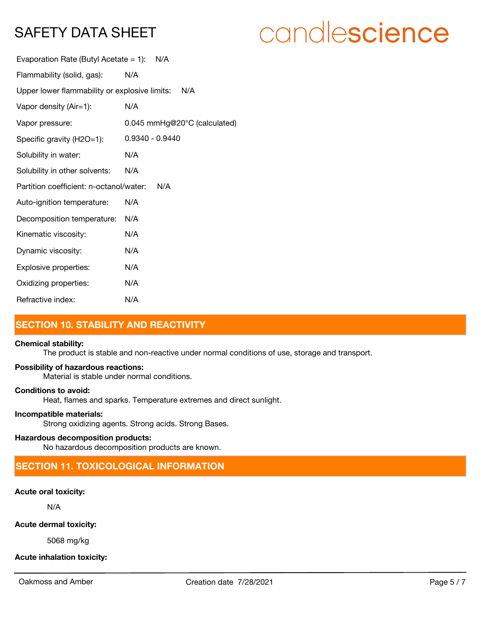# candlescience

| Evaporation Rate (Butyl Acetate = 1):         | N/A                          |
|-----------------------------------------------|------------------------------|
| Flammability (solid, gas):                    | N/A                          |
| Upper lower flammability or explosive limits: | N/A                          |
| Vapor density (Air=1):                        | N/A                          |
| Vapor pressure:                               | 0.045 mmHg@20°C (calculated) |
| Specific gravity (H2O=1):                     | 0.9340 - 0.9440              |
| Solubility in water:                          | N/A                          |
| Solubility in other solvents:                 | N/A                          |
| Partition coefficient: n-octanol/water:       | N/A                          |
| Auto-ignition temperature:                    | N/A                          |
| Decomposition temperature:                    | N/A                          |
| Kinematic viscosity:                          | N/A                          |
| Dynamic viscosity:                            | N/A                          |
| Explosive properties:                         | N/A                          |
| Oxidizing properties:                         | N/A                          |
| Refractive index:                             | N/A                          |

# **SECTION 10. STABILITY AND REACTIVITY**

#### **Chemical stability:**

The product is stable and non-reactive under normal conditions of use, storage and transport.

#### **Possibility of hazardous reactions:**

Material is stable under normal conditions.

#### **Conditions to avoid:**

Heat, flames and sparks. Temperature extremes and direct sunlight.

#### **Incompatible materials:**

Strong oxidizing agents. Strong acids. Strong Bases.

#### **Hazardous decomposition products:**

No hazardous decomposition products are known.

# **SECTION 11. TOXICOLOGICAL INFORMATION**

### **Acute oral toxicity:**

N/A

#### **Acute dermal toxicity:**

5068 mg/kg

### **Acute inhalation toxicity:**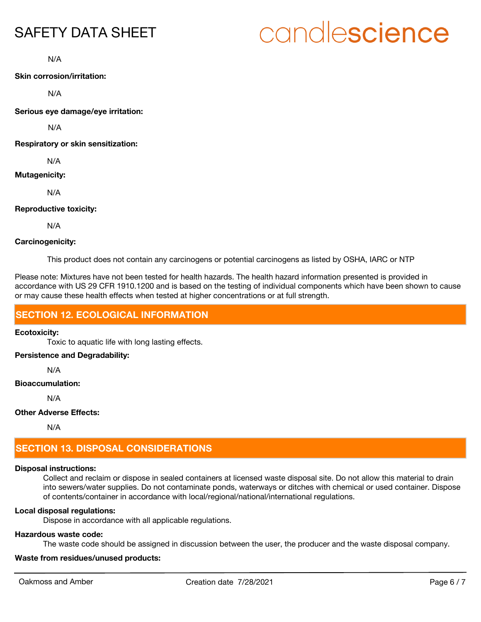# candlescience

N/A

**Skin corrosion/irritation:**

N/A

**Serious eye damage/eye irritation:**

N/A

**Respiratory or skin sensitization:**

N/A

#### **Mutagenicity:**

N/A

#### **Reproductive toxicity:**

N/A

#### **Carcinogenicity:**

This product does not contain any carcinogens or potential carcinogens as listed by OSHA, IARC or NTP

Please note: Mixtures have not been tested for health hazards. The health hazard information presented is provided in accordance with US 29 CFR 1910.1200 and is based on the testing of individual components which have been shown to cause or may cause these health effects when tested at higher concentrations or at full strength.

# **SECTION 12. ECOLOGICAL INFORMATION**

#### **Ecotoxicity:**

Toxic to aquatic life with long lasting effects.

#### **Persistence and Degradability:**

N/A

#### **Bioaccumulation:**

N/A

#### **Other Adverse Effects:**

N/A

# **SECTION 13. DISPOSAL CONSIDERATIONS**

### **Disposal instructions:**

Collect and reclaim or dispose in sealed containers at licensed waste disposal site. Do not allow this material to drain into sewers/water supplies. Do not contaminate ponds, waterways or ditches with chemical or used container. Dispose of contents/container in accordance with local/regional/national/international regulations.

### **Local disposal regulations:**

Dispose in accordance with all applicable regulations.

### **Hazardous waste code:**

The waste code should be assigned in discussion between the user, the producer and the waste disposal company.

# **Waste from residues/unused products:**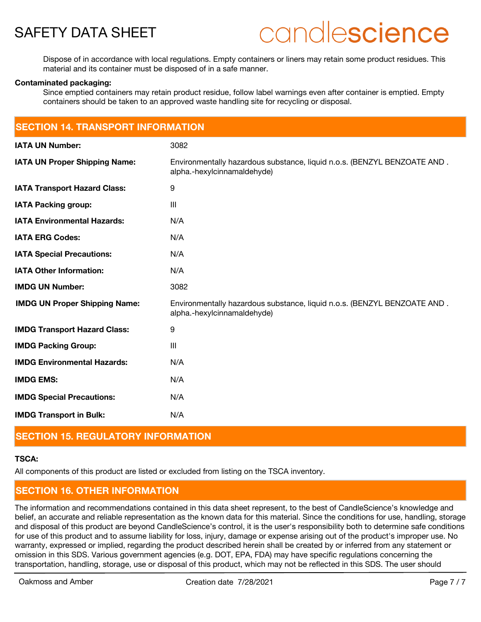

# candlescience

Dispose of in accordance with local regulations. Empty containers or liners may retain some product residues. This material and its container must be disposed of in a safe manner.

#### **Contaminated packaging:**

Since emptied containers may retain product residue, follow label warnings even after container is emptied. Empty containers should be taken to an approved waste handling site for recycling or disposal.

| <b>SECTION 14. TRANSPORT INFORMATION</b> |                                                                                                         |  |
|------------------------------------------|---------------------------------------------------------------------------------------------------------|--|
| <b>IATA UN Number:</b>                   | 3082                                                                                                    |  |
| <b>IATA UN Proper Shipping Name:</b>     | Environmentally hazardous substance, liquid n.o.s. (BENZYL BENZOATE AND.<br>alpha.-hexylcinnamaldehyde) |  |
| <b>IATA Transport Hazard Class:</b>      | 9                                                                                                       |  |
| <b>IATA Packing group:</b>               | $\mathbf{III}$                                                                                          |  |
| <b>IATA Environmental Hazards:</b>       | N/A                                                                                                     |  |
| <b>IATA ERG Codes:</b>                   | N/A                                                                                                     |  |
| <b>IATA Special Precautions:</b>         | N/A                                                                                                     |  |
| <b>IATA Other Information:</b>           | N/A                                                                                                     |  |
| <b>IMDG UN Number:</b>                   | 3082                                                                                                    |  |
| <b>IMDG UN Proper Shipping Name:</b>     | Environmentally hazardous substance, liquid n.o.s. (BENZYL BENZOATE AND.<br>alpha.-hexylcinnamaldehyde) |  |
| <b>IMDG Transport Hazard Class:</b>      | 9                                                                                                       |  |
| <b>IMDG Packing Group:</b>               | $\mathbf{III}$                                                                                          |  |
| <b>IMDG Environmental Hazards:</b>       | N/A                                                                                                     |  |
| <b>IMDG EMS:</b>                         | N/A                                                                                                     |  |
| <b>IMDG Special Precautions:</b>         | N/A                                                                                                     |  |
| <b>IMDG Transport in Bulk:</b>           | N/A                                                                                                     |  |

## **SECTION 15. REGULATORY INFORMATION**

#### **TSCA:**

All components of this product are listed or excluded from listing on the TSCA inventory.

# **SECTION 16. OTHER INFORMATION**

The information and recommendations contained in this data sheet represent, to the best of CandleScience's knowledge and belief, an accurate and reliable representation as the known data for this material. Since the conditions for use, handling, storage and disposal of this product are beyond CandleScience's control, it is the user's responsibility both to determine safe conditions for use of this product and to assume liability for loss, injury, damage or expense arising out of the product's improper use. No warranty, expressed or implied, regarding the product described herein shall be created by or inferred from any statement or omission in this SDS. Various government agencies (e.g. DOT, EPA, FDA) may have specific regulations concerning the transportation, handling, storage, use or disposal of this product, which may not be reflected in this SDS. The user should